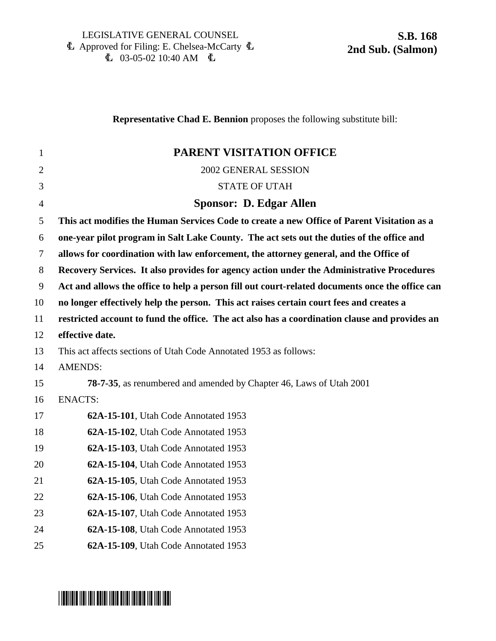|                | <b>Representative Chad E. Bennion</b> proposes the following substitute bill:                   |
|----------------|-------------------------------------------------------------------------------------------------|
| 1              | PARENT VISITATION OFFICE                                                                        |
| $\overline{2}$ | 2002 GENERAL SESSION                                                                            |
| 3              | <b>STATE OF UTAH</b>                                                                            |
| $\overline{4}$ | Sponsor: D. Edgar Allen                                                                         |
| 5              | This act modifies the Human Services Code to create a new Office of Parent Visitation as a      |
| 6              | one-year pilot program in Salt Lake County. The act sets out the duties of the office and       |
| $\tau$         | allows for coordination with law enforcement, the attorney general, and the Office of           |
| 8              | Recovery Services. It also provides for agency action under the Administrative Procedures       |
| 9              | Act and allows the office to help a person fill out court-related documents once the office can |
| 10             | no longer effectively help the person. This act raises certain court fees and creates a         |
| 11             | restricted account to fund the office. The act also has a coordination clause and provides an   |
| 12             | effective date.                                                                                 |
| 13             | This act affects sections of Utah Code Annotated 1953 as follows:                               |
| 14             | <b>AMENDS:</b>                                                                                  |
| 15             | <b>78-7-35</b> , as renumbered and amended by Chapter 46, Laws of Utah 2001                     |
| 16             | <b>ENACTS:</b>                                                                                  |
| 17             | 62A-15-101, Utah Code Annotated 1953                                                            |
| 18             | 62A-15-102, Utah Code Annotated 1953                                                            |
| 19             | 62A-15-103, Utah Code Annotated 1953                                                            |
| 20             | 62A-15-104, Utah Code Annotated 1953                                                            |
| 21             | 62A-15-105, Utah Code Annotated 1953                                                            |
| 22             | 62A-15-106, Utah Code Annotated 1953                                                            |
| 23             | 62A-15-107, Utah Code Annotated 1953                                                            |
| 24             | 62A-15-108, Utah Code Annotated 1953                                                            |
| 25             | 62A-15-109, Utah Code Annotated 1953                                                            |
|                |                                                                                                 |

# \*SB0168S2\*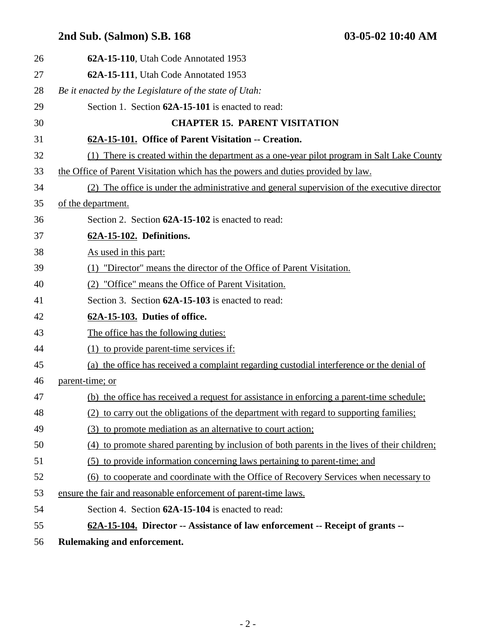| 26 | 62A-15-110, Utah Code Annotated 1953                                                         |
|----|----------------------------------------------------------------------------------------------|
| 27 | 62A-15-111, Utah Code Annotated 1953                                                         |
| 28 | Be it enacted by the Legislature of the state of Utah:                                       |
| 29 | Section 1. Section 62A-15-101 is enacted to read:                                            |
| 30 | <b>CHAPTER 15. PARENT VISITATION</b>                                                         |
| 31 | 62A-15-101. Office of Parent Visitation -- Creation.                                         |
| 32 | (1) There is created within the department as a one-year pilot program in Salt Lake County   |
| 33 | the Office of Parent Visitation which has the powers and duties provided by law.             |
| 34 | (2) The office is under the administrative and general supervision of the executive director |
| 35 | of the department.                                                                           |
| 36 | Section 2. Section 62A-15-102 is enacted to read:                                            |
| 37 | 62A-15-102. Definitions.                                                                     |
| 38 | As used in this part:                                                                        |
| 39 | (1) "Director" means the director of the Office of Parent Visitation.                        |
| 40 | (2) "Office" means the Office of Parent Visitation.                                          |
| 41 | Section 3. Section 62A-15-103 is enacted to read:                                            |
| 42 | 62A-15-103. Duties of office.                                                                |
| 43 | The office has the following duties:                                                         |
| 44 | (1) to provide parent-time services if:                                                      |
| 45 | (a) the office has received a complaint regarding custodial interference or the denial of    |
| 46 | parent-time; or                                                                              |
| 47 | (b) the office has received a request for assistance in enforcing a parent-time schedule;    |
| 48 | (2) to carry out the obligations of the department with regard to supporting families;       |
| 49 | (3) to promote mediation as an alternative to court action;                                  |
| 50 | (4) to promote shared parenting by inclusion of both parents in the lives of their children; |
| 51 | (5) to provide information concerning laws pertaining to parent-time; and                    |
| 52 | (6) to cooperate and coordinate with the Office of Recovery Services when necessary to       |
| 53 | ensure the fair and reasonable enforcement of parent-time laws.                              |
| 54 | Section 4. Section 62A-15-104 is enacted to read:                                            |
| 55 | 62A-15-104. Director -- Assistance of law enforcement -- Receipt of grants --                |
| 56 | Rulemaking and enforcement.                                                                  |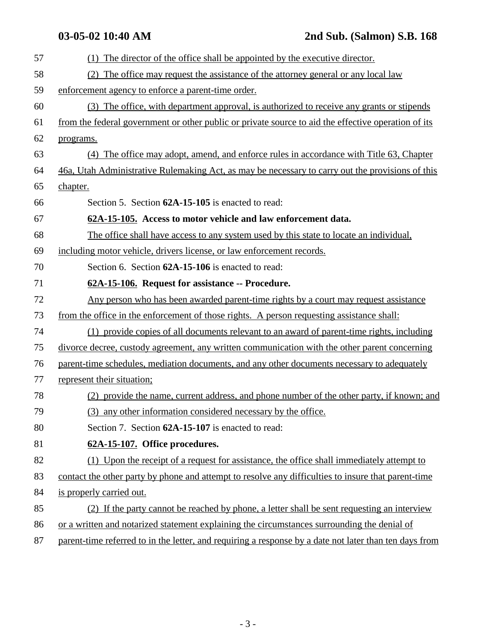| 57 | (1) The director of the office shall be appointed by the executive director.                           |
|----|--------------------------------------------------------------------------------------------------------|
| 58 | (2) The office may request the assistance of the attorney general or any local law                     |
| 59 | enforcement agency to enforce a parent-time order.                                                     |
| 60 | (3) The office, with department approval, is authorized to receive any grants or stipends              |
| 61 | from the federal government or other public or private source to aid the effective operation of its    |
| 62 | programs.                                                                                              |
| 63 | (4) The office may adopt, amend, and enforce rules in accordance with Title 63, Chapter                |
| 64 | 46a, Utah Administrative Rulemaking Act, as may be necessary to carry out the provisions of this       |
| 65 | chapter.                                                                                               |
| 66 | Section 5. Section 62A-15-105 is enacted to read:                                                      |
| 67 | 62A-15-105. Access to motor vehicle and law enforcement data.                                          |
| 68 | The office shall have access to any system used by this state to locate an individual,                 |
| 69 | including motor vehicle, drivers license, or law enforcement records.                                  |
| 70 | Section 6. Section 62A-15-106 is enacted to read:                                                      |
| 71 | 62A-15-106. Request for assistance -- Procedure.                                                       |
| 72 | Any person who has been awarded parent-time rights by a court may request assistance                   |
| 73 | from the office in the enforcement of those rights. A person requesting assistance shall:              |
| 74 | (1) provide copies of all documents relevant to an award of parent-time rights, including              |
| 75 | divorce decree, custody agreement, any written communication with the other parent concerning          |
| 76 | parent-time schedules, mediation documents, and any other documents necessary to adequately            |
| 77 | represent their situation;                                                                             |
| 78 | (2) provide the name, current address, and phone number of the other party, if known; and              |
| 79 | (3) any other information considered necessary by the office.                                          |
| 80 | Section 7. Section 62A-15-107 is enacted to read:                                                      |
| 81 | 62A-15-107. Office procedures.                                                                         |
| 82 | (1) Upon the receipt of a request for assistance, the office shall immediately attempt to              |
| 83 | contact the other party by phone and attempt to resolve any difficulties to insure that parent-time    |
| 84 | is properly carried out.                                                                               |
| 85 | (2) If the party cannot be reached by phone, a letter shall be sent requesting an interview            |
| 86 | or a written and notarized statement explaining the circumstances surrounding the denial of            |
| 87 | parent-time referred to in the letter, and requiring a response by a date not later than ten days from |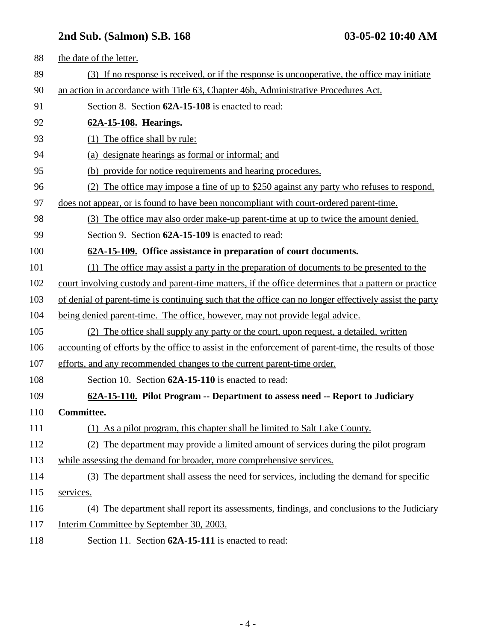| 88  | the date of the letter.                                                                                |
|-----|--------------------------------------------------------------------------------------------------------|
| 89  | (3) If no response is received, or if the response is uncooperative, the office may initiate           |
| 90  | an action in accordance with Title 63, Chapter 46b, Administrative Procedures Act.                     |
| 91  | Section 8. Section 62A-15-108 is enacted to read:                                                      |
| 92  | 62A-15-108. Hearings.                                                                                  |
| 93  | (1) The office shall by rule:                                                                          |
| 94  | (a) designate hearings as formal or informal; and                                                      |
| 95  | (b) provide for notice requirements and hearing procedures.                                            |
| 96  | (2) The office may impose a fine of up to \$250 against any party who refuses to respond,              |
| 97  | does not appear, or is found to have been noncompliant with court-ordered parent-time.                 |
| 98  | (3) The office may also order make-up parent-time at up to twice the amount denied.                    |
| 99  | Section 9. Section 62A-15-109 is enacted to read:                                                      |
| 100 | 62A-15-109. Office assistance in preparation of court documents.                                       |
| 101 | (1) The office may assist a party in the preparation of documents to be presented to the               |
| 102 | court involving custody and parent-time matters, if the office determines that a pattern or practice   |
| 103 | of denial of parent-time is continuing such that the office can no longer effectively assist the party |
| 104 | being denied parent-time. The office, however, may not provide legal advice.                           |
| 105 | (2) The office shall supply any party or the court, upon request, a detailed, written                  |
| 106 | accounting of efforts by the office to assist in the enforcement of parent-time, the results of those  |
| 107 | efforts, and any recommended changes to the current parent-time order.                                 |
| 108 | Section 10. Section 62A-15-110 is enacted to read:                                                     |
| 109 | 62A-15-110. Pilot Program -- Department to assess need -- Report to Judiciary                          |
| 110 | Committee.                                                                                             |
| 111 | (1) As a pilot program, this chapter shall be limited to Salt Lake County.                             |
| 112 | The department may provide a limited amount of services during the pilot program<br>(2)                |
| 113 | while assessing the demand for broader, more comprehensive services.                                   |
| 114 | (3) The department shall assess the need for services, including the demand for specific               |
| 115 | services.                                                                                              |
| 116 | (4) The department shall report its assessments, findings, and conclusions to the Judiciary            |
| 117 | Interim Committee by September 30, 2003.                                                               |
| 118 | Section 11. Section 62A-15-111 is enacted to read:                                                     |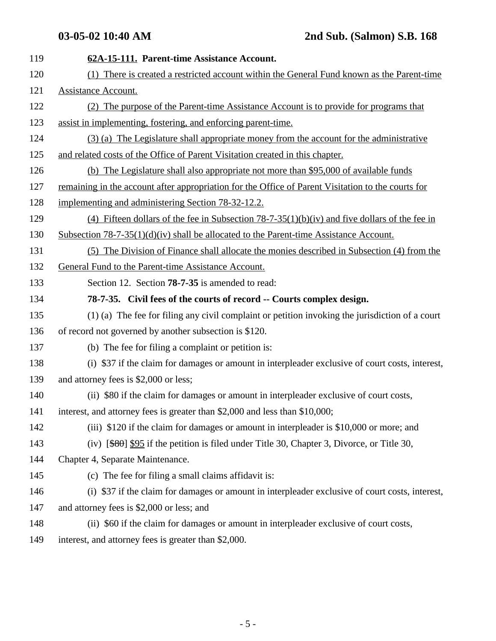119 **62A-15-111. Parent-time Assistance Account.** 120 (1) There is created a restricted account within the General Fund known as the Parent-time 121 Assistance Account. 122 (2) The purpose of the Parent-time Assistance Account is to provide for programs that 123 assist in implementing, fostering, and enforcing parent-time. 124 (3) (a) The Legislature shall appropriate money from the account for the administrative 125 and related costs of the Office of Parent Visitation created in this chapter. 126 (b) The Legislature shall also appropriate not more than \$95,000 of available funds 127 remaining in the account after appropriation for the Office of Parent Visitation to the courts for 128 implementing and administering Section 78-32-12.2. 129 (4) Fifteen dollars of the fee in Subsection 78-7-35(1)(b)(iv) and five dollars of the fee in 130 Subsection 78-7-35(1)(d)(iv) shall be allocated to the Parent-time Assistance Account. 131 (5) The Division of Finance shall allocate the monies described in Subsection (4) from the 132 General Fund to the Parent-time Assistance Account. 133 Section 12. Section **78-7-35** is amended to read: 134 **78-7-35. Civil fees of the courts of record -- Courts complex design.** 135 (1) (a) The fee for filing any civil complaint or petition invoking the jurisdiction of a court 136 of record not governed by another subsection is \$120. 137 (b) The fee for filing a complaint or petition is: 138 (i) \$37 if the claim for damages or amount in interpleader exclusive of court costs, interest, 139 and attorney fees is \$2,000 or less; 140 (ii) \$80 if the claim for damages or amount in interpleader exclusive of court costs, 141 interest, and attorney fees is greater than \$2,000 and less than \$10,000; 142 (iii) \$120 if the claim for damages or amount in interpleader is \$10,000 or more; and 143 (iv) [\$80] \$95 if the petition is filed under Title 30, Chapter 3, Divorce, or Title 30, 144 Chapter 4, Separate Maintenance. 145 (c) The fee for filing a small claims affidavit is: 146 (i) \$37 if the claim for damages or amount in interpleader exclusive of court costs, interest, 147 and attorney fees is \$2,000 or less; and 148 (ii) \$60 if the claim for damages or amount in interpleader exclusive of court costs, 149 interest, and attorney fees is greater than \$2,000.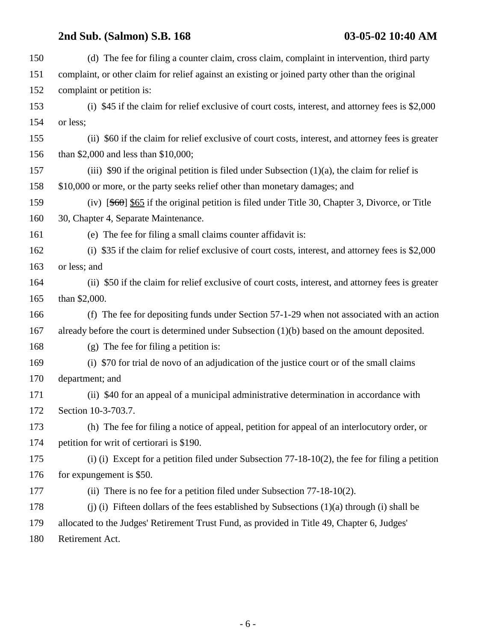| 150 | (d) The fee for filing a counter claim, cross claim, complaint in intervention, third party        |
|-----|----------------------------------------------------------------------------------------------------|
| 151 | complaint, or other claim for relief against an existing or joined party other than the original   |
| 152 | complaint or petition is:                                                                          |
| 153 | (i) \$45 if the claim for relief exclusive of court costs, interest, and attorney fees is \$2,000  |
| 154 | or less;                                                                                           |
| 155 | (ii) \$60 if the claim for relief exclusive of court costs, interest, and attorney fees is greater |
| 156 | than \$2,000 and less than \$10,000;                                                               |
| 157 | (iii) \$90 if the original petition is filed under Subsection $(1)(a)$ , the claim for relief is   |
| 158 | \$10,000 or more, or the party seeks relief other than monetary damages; and                       |
| 159 | (iv) $[$60]$ \$65 if the original petition is filed under Title 30, Chapter 3, Divorce, or Title   |
| 160 | 30, Chapter 4, Separate Maintenance.                                                               |
| 161 | (e) The fee for filing a small claims counter affidavit is:                                        |
| 162 | (i) \$35 if the claim for relief exclusive of court costs, interest, and attorney fees is $$2,000$ |
| 163 | or less; and                                                                                       |
| 164 | (ii) \$50 if the claim for relief exclusive of court costs, interest, and attorney fees is greater |
| 165 | than \$2,000.                                                                                      |
| 166 | (f) The fee for depositing funds under Section 57-1-29 when not associated with an action          |
| 167 | already before the court is determined under Subsection (1)(b) based on the amount deposited.      |
| 168 | $(g)$ The fee for filing a petition is:                                                            |
| 169 | (i) \$70 for trial de novo of an adjudication of the justice court or of the small claims          |
| 170 | department; and                                                                                    |
| 171 | (ii) \$40 for an appeal of a municipal administrative determination in accordance with             |
| 172 | Section 10-3-703.7.                                                                                |
| 173 | (h) The fee for filing a notice of appeal, petition for appeal of an interlocutory order, or       |
| 174 | petition for writ of certiorari is \$190.                                                          |
| 175 | (i) (i) Except for a petition filed under Subsection $77-18-10(2)$ , the fee for filing a petition |
| 176 | for expungement is \$50.                                                                           |
| 177 | (ii) There is no fee for a petition filed under Subsection $77-18-10(2)$ .                         |
| 178 | (i) (i) Fifteen dollars of the fees established by Subsections $(1)(a)$ through (i) shall be       |
| 179 | allocated to the Judges' Retirement Trust Fund, as provided in Title 49, Chapter 6, Judges'        |
| 180 | Retirement Act.                                                                                    |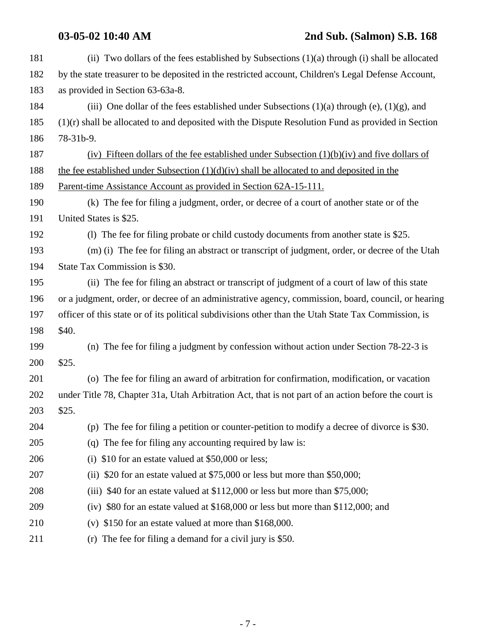| 181 | (ii) Two dollars of the fees established by Subsections (1)(a) through (i) shall be allocated        |
|-----|------------------------------------------------------------------------------------------------------|
| 182 | by the state treasurer to be deposited in the restricted account, Children's Legal Defense Account,  |
| 183 | as provided in Section 63-63a-8.                                                                     |
| 184 | (iii) One dollar of the fees established under Subsections $(1)(a)$ through $(e)$ , $(1)(g)$ , and   |
| 185 | $(1)(r)$ shall be allocated to and deposited with the Dispute Resolution Fund as provided in Section |
| 186 | 78-31b-9.                                                                                            |
| 187 | (iv) Fifteen dollars of the fee established under Subsection $(1)(b)(iv)$ and five dollars of        |
| 188 | the fee established under Subsection $(1)(d)(iv)$ shall be allocated to and deposited in the         |
| 189 | Parent-time Assistance Account as provided in Section 62A-15-111.                                    |
| 190 | (k) The fee for filing a judgment, order, or decree of a court of another state or of the            |
| 191 | United States is \$25.                                                                               |
| 192 | (1) The fee for filing probate or child custody documents from another state is \$25.                |
| 193 | (m) (i) The fee for filing an abstract or transcript of judgment, order, or decree of the Utah       |
| 194 | State Tax Commission is \$30.                                                                        |
| 195 | (ii) The fee for filing an abstract or transcript of judgment of a court of law of this state        |
| 196 | or a judgment, order, or decree of an administrative agency, commission, board, council, or hearing  |
| 197 | officer of this state or of its political subdivisions other than the Utah State Tax Commission, is  |
| 198 | \$40.                                                                                                |
| 199 | (n) The fee for filing a judgment by confession without action under Section 78-22-3 is              |
| 200 | \$25.                                                                                                |
| 201 | (o) The fee for filing an award of arbitration for confirmation, modification, or vacation           |
| 202 | under Title 78, Chapter 31a, Utah Arbitration Act, that is not part of an action before the court is |
| 203 | \$25.                                                                                                |
| 204 | (p) The fee for filing a petition or counter-petition to modify a decree of divorce is \$30.         |
| 205 | (q) The fee for filing any accounting required by law is:                                            |
| 206 | \$10 for an estate valued at \$50,000 or less;<br>(i)                                                |
| 207 | (ii) $$20$ for an estate valued at $$75,000$ or less but more than $$50,000$ ;                       |
| 208 | (iii) \$40 for an estate valued at \$112,000 or less but more than \$75,000;                         |
| 209 | (iv) \$80 for an estate valued at \$168,000 or less but more than \$112,000; and                     |
| 210 | (v) $$150$ for an estate valued at more than $$168,000$ .                                            |
| 211 | (r) The fee for filing a demand for a civil jury is $$50$ .                                          |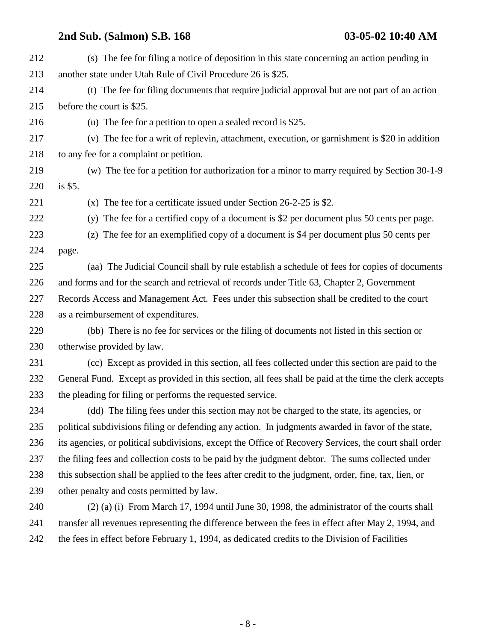| 212 | (s) The fee for filing a notice of deposition in this state concerning an action pending in            |
|-----|--------------------------------------------------------------------------------------------------------|
| 213 | another state under Utah Rule of Civil Procedure 26 is \$25.                                           |
| 214 | (t) The fee for filing documents that require judicial approval but are not part of an action          |
| 215 | before the court is \$25.                                                                              |
| 216 | (u) The fee for a petition to open a sealed record is \$25.                                            |
| 217 | (v) The fee for a writ of replevin, attachment, execution, or garnishment is \$20 in addition          |
| 218 | to any fee for a complaint or petition.                                                                |
| 219 | (w) The fee for a petition for authorization for a minor to marry required by Section 30-1-9           |
| 220 | is \$5.                                                                                                |
| 221 | (x) The fee for a certificate issued under Section $26-2-25$ is \$2.                                   |
| 222 | (y) The fee for a certified copy of a document is \$2 per document plus 50 cents per page.             |
| 223 | (z) The fee for an exemplified copy of a document is \$4 per document plus 50 cents per                |
| 224 | page.                                                                                                  |
| 225 | (aa) The Judicial Council shall by rule establish a schedule of fees for copies of documents           |
| 226 | and forms and for the search and retrieval of records under Title 63, Chapter 2, Government            |
| 227 | Records Access and Management Act. Fees under this subsection shall be credited to the court           |
| 228 | as a reimbursement of expenditures.                                                                    |
| 229 | (bb) There is no fee for services or the filing of documents not listed in this section or             |
| 230 | otherwise provided by law.                                                                             |
| 231 | (cc) Except as provided in this section, all fees collected under this section are paid to the         |
| 232 | General Fund. Except as provided in this section, all fees shall be paid at the time the clerk accepts |
| 233 | the pleading for filing or performs the requested service.                                             |
| 234 | (dd) The filing fees under this section may not be charged to the state, its agencies, or              |
| 235 | political subdivisions filing or defending any action. In judgments awarded in favor of the state,     |
| 236 | its agencies, or political subdivisions, except the Office of Recovery Services, the court shall order |
| 237 | the filing fees and collection costs to be paid by the judgment debtor. The sums collected under       |
| 238 | this subsection shall be applied to the fees after credit to the judgment, order, fine, tax, lien, or  |
| 239 | other penalty and costs permitted by law.                                                              |
| 240 | $(2)$ (a) (i) From March 17, 1994 until June 30, 1998, the administrator of the courts shall           |
| 241 | transfer all revenues representing the difference between the fees in effect after May 2, 1994, and    |
| 242 | the fees in effect before February 1, 1994, as dedicated credits to the Division of Facilities         |
|     |                                                                                                        |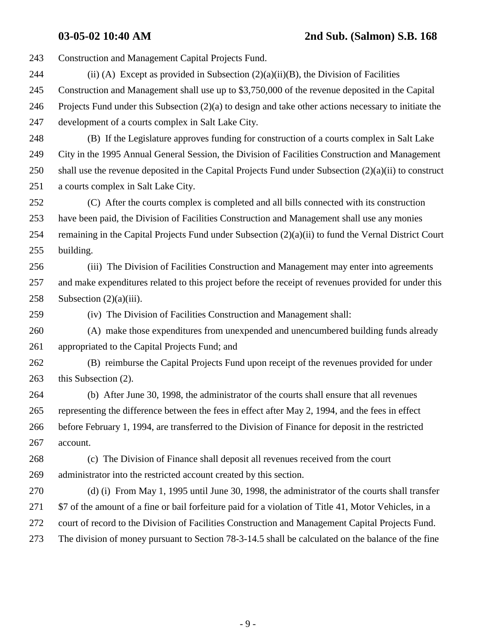243 Construction and Management Capital Projects Fund. 244 (ii) (A) Except as provided in Subsection  $(2)(a)(ii)(B)$ , the Division of Facilities 245 Construction and Management shall use up to \$3,750,000 of the revenue deposited in the Capital 246 Projects Fund under this Subsection (2)(a) to design and take other actions necessary to initiate the 247 development of a courts complex in Salt Lake City. 248 (B) If the Legislature approves funding for construction of a courts complex in Salt Lake 249 City in the 1995 Annual General Session, the Division of Facilities Construction and Management 250 shall use the revenue deposited in the Capital Projects Fund under Subsection (2)(a)(ii) to construct 251 a courts complex in Salt Lake City. 252 (C) After the courts complex is completed and all bills connected with its construction 253 have been paid, the Division of Facilities Construction and Management shall use any monies 254 remaining in the Capital Projects Fund under Subsection (2)(a)(ii) to fund the Vernal District Court 255 building. 256 (iii) The Division of Facilities Construction and Management may enter into agreements 257 and make expenditures related to this project before the receipt of revenues provided for under this 258 Subsection  $(2)(a)(iii)$ . 259 (iv) The Division of Facilities Construction and Management shall: 260 (A) make those expenditures from unexpended and unencumbered building funds already 261 appropriated to the Capital Projects Fund; and 262 (B) reimburse the Capital Projects Fund upon receipt of the revenues provided for under 263 this Subsection (2). 264 (b) After June 30, 1998, the administrator of the courts shall ensure that all revenues 265 representing the difference between the fees in effect after May 2, 1994, and the fees in effect 266 before February 1, 1994, are transferred to the Division of Finance for deposit in the restricted 267 account. 268 (c) The Division of Finance shall deposit all revenues received from the court 269 administrator into the restricted account created by this section. 270 (d) (i) From May 1, 1995 until June 30, 1998, the administrator of the courts shall transfer 271 \$7 of the amount of a fine or bail forfeiture paid for a violation of Title 41, Motor Vehicles, in a 272 court of record to the Division of Facilities Construction and Management Capital Projects Fund. 273 The division of money pursuant to Section 78-3-14.5 shall be calculated on the balance of the fine